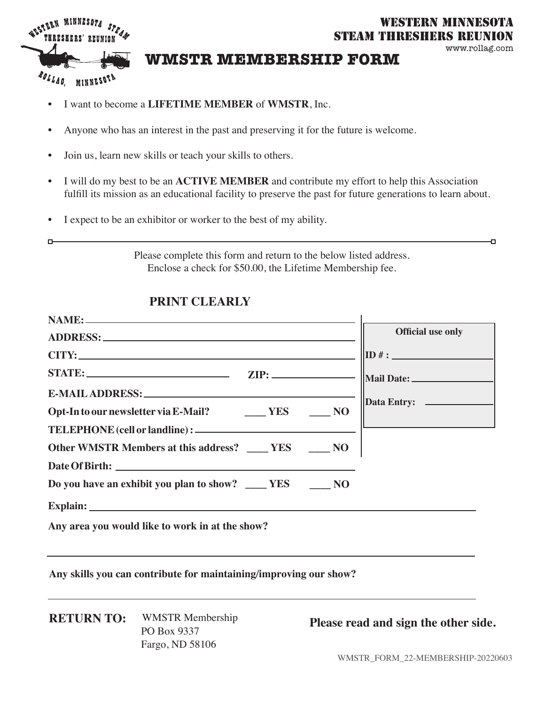

### **WESTERN MINNESOTA** STEAM THRESHERS REUNION

#### www.rollag.com

Ð

## **WMSTR MEMBERSHIP FORM**

- - I want to become a **LIFETIME MEMBER** of **WMSTR**, Inc.
	- Anyone who has an interest in the past and preserving it for the future is welcome.
	- Join us, learn new skills or teach your skills to others.
	- I will do my best to be an **ACTIVE MEMBER** and contribute my effort to help this Association fulfill its mission as an educational facility to preserve the past for future generations to learn about.
	- I expect to be an exhibitor or worker to the best of my ability.

Please complete this form and return to the below listed address. Enclose a check for \$50.00, the Lifetime Membership fee.

## **PRINT CLEARLY**

|                                                                                                                                                                                                                                | <b>Official use only</b>       |
|--------------------------------------------------------------------------------------------------------------------------------------------------------------------------------------------------------------------------------|--------------------------------|
|                                                                                                                                                                                                                                | $\overline{\mathbf{ID}^{\#}$ : |
|                                                                                                                                                                                                                                |                                |
| E-MAIL ADDRESS: North and the contract of the contract of the contract of the contract of the contract of the contract of the contract of the contract of the contract of the contract of the contract of the contract of the  |                                |
| Opt-In to our newsletter via E-Mail? ________ YES ______ NO                                                                                                                                                                    |                                |
|                                                                                                                                                                                                                                |                                |
| Other WMSTR Members at this address? ____ YES ____ NO                                                                                                                                                                          |                                |
|                                                                                                                                                                                                                                |                                |
| Do you have an exhibit you plan to show? ______ YES _______ NO                                                                                                                                                                 |                                |
| Explain: North Communication of the Communication of the Communication of the Communication of the Communication of the Communication of the Communication of the Communication of the Communication of the Communication of t |                                |
| Any area you would like to work in at the show?                                                                                                                                                                                |                                |
|                                                                                                                                                                                                                                |                                |

**Any skills you can contribute for maintaining/improving our show?**

**RETURN TO:** WMSTR Membership PO Box 9337 Fargo, ND 58106

**Please read and sign the other side.**